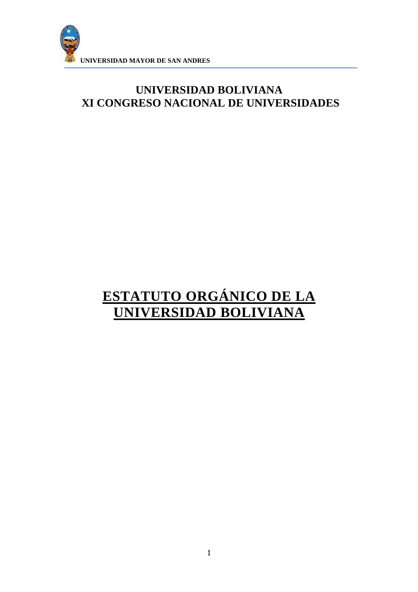

# **UNIVERSIDAD BOLIVIANA XI CONGRESO NACIONAL DE UNIVERSIDADES**

# **ESTATUTO ORGÁNICO DE LA UNIVERSIDAD BOLIVIANA**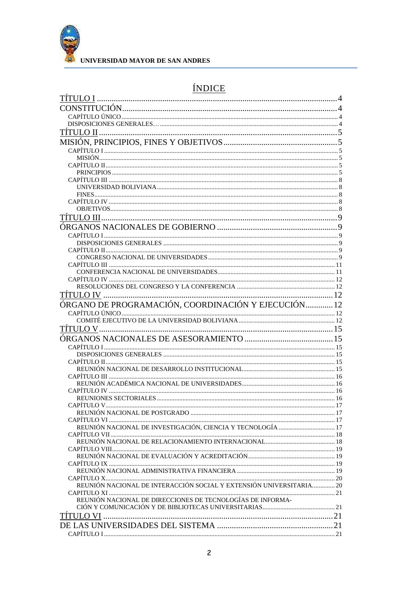

# **ÍNDICE**

| TÍTULO II                                                           |  |
|---------------------------------------------------------------------|--|
|                                                                     |  |
|                                                                     |  |
|                                                                     |  |
|                                                                     |  |
|                                                                     |  |
|                                                                     |  |
|                                                                     |  |
|                                                                     |  |
|                                                                     |  |
| TITULO III                                                          |  |
|                                                                     |  |
|                                                                     |  |
|                                                                     |  |
|                                                                     |  |
|                                                                     |  |
|                                                                     |  |
|                                                                     |  |
|                                                                     |  |
|                                                                     |  |
| ÓRGANO DE PROGRAMACIÓN, COORDINACIÓN Y EJECUCIÓN                    |  |
|                                                                     |  |
|                                                                     |  |
|                                                                     |  |
|                                                                     |  |
| TITULO V                                                            |  |
|                                                                     |  |
|                                                                     |  |
|                                                                     |  |
|                                                                     |  |
|                                                                     |  |
|                                                                     |  |
|                                                                     |  |
|                                                                     |  |
|                                                                     |  |
|                                                                     |  |
|                                                                     |  |
|                                                                     |  |
|                                                                     |  |
|                                                                     |  |
|                                                                     |  |
|                                                                     |  |
|                                                                     |  |
| REUNIÓN NACIONAL DE INTERACCIÓN SOCIAL Y EXTENSIÓN UNIVERSITARIA 20 |  |
|                                                                     |  |
| REUNIÓN NACIONAL DE DIRECCIONES DE TECNOLOGÍAS DE INFORMA-          |  |
|                                                                     |  |
| TITULO VI                                                           |  |
|                                                                     |  |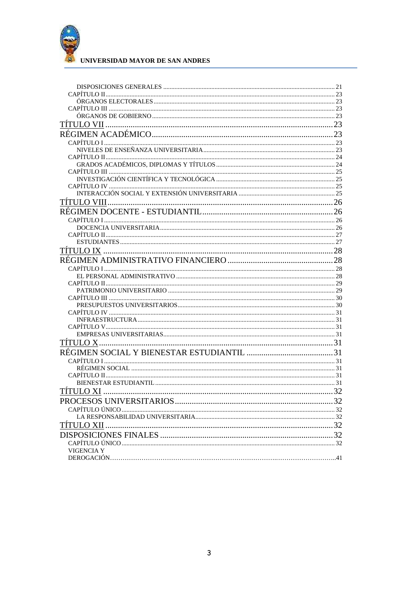

| TITULO VIII  |  |
|--------------|--|
|              |  |
|              |  |
|              |  |
|              |  |
|              |  |
| TITULO IX    |  |
|              |  |
|              |  |
|              |  |
|              |  |
|              |  |
| CAPÍTULO III |  |
|              |  |
|              |  |
|              |  |
|              |  |
|              |  |
| TITULO X     |  |
|              |  |
|              |  |
|              |  |
|              |  |
|              |  |
| TITULO XI    |  |
|              |  |
|              |  |
|              |  |
|              |  |
|              |  |
|              |  |
| VIGENCIA Y   |  |
|              |  |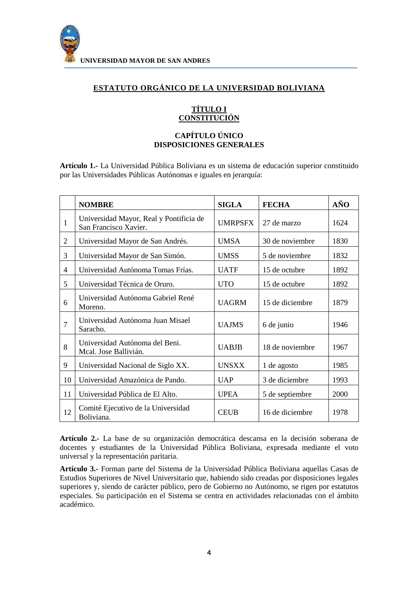# **ESTATUTO ORGÁNICO DE LA UNIVERSIDAD BOLIVIANA**

# **TÍTULO I CONSTITUCIÓN**

# **CAPÍTULO ÚNICO DISPOSICIONES GENERALES**

**Artículo 1.-** La Universidad Pública Boliviana es un sistema de educación superior constituido por las Universidades Públicas Autónomas e iguales en jerarquía:

|                | <b>NOMBRE</b>                                                    | <b>SIGLA</b>   | <b>FECHA</b>    | AÑO  |
|----------------|------------------------------------------------------------------|----------------|-----------------|------|
| $\mathbf{1}$   | Universidad Mayor, Real y Pontificia de<br>San Francisco Xavier. | <b>UMRPSFX</b> | 27 de marzo     | 1624 |
| $\overline{2}$ | Universidad Mayor de San Andrés.                                 | <b>UMSA</b>    | 30 de noviembre | 1830 |
| 3              | Universidad Mayor de San Simón.                                  | <b>UMSS</b>    | 5 de noviembre  | 1832 |
| 4              | Universidad Autónoma Tomas Frías.                                | <b>UATF</b>    | 15 de octubre   | 1892 |
| 5              | Universidad Técnica de Oruro.                                    | <b>UTO</b>     | 15 de octubre   | 1892 |
| 6              | Universidad Autónoma Gabriel René<br>Moreno.                     | <b>UAGRM</b>   | 15 de diciembre | 1879 |
| $\overline{7}$ | Universidad Autónoma Juan Misael<br>Saracho.                     | <b>UAJMS</b>   | 6 de junio      | 1946 |
| 8              | Universidad Autónoma del Beni.<br>Mcal. Jose Ballivián.          | <b>UABJB</b>   | 18 de noviembre | 1967 |
| 9              | Universidad Nacional de Siglo XX.                                | <b>UNSXX</b>   | 1 de agosto     | 1985 |
| 10             | Universidad Amazónica de Pando.                                  | <b>UAP</b>     | 3 de diciembre  | 1993 |
| 11             | Universidad Pública de El Alto.                                  | <b>UPEA</b>    | 5 de septiembre | 2000 |
| 12             | Comité Ejecutivo de la Universidad<br>Boliviana.                 | <b>CEUB</b>    | 16 de diciembre | 1978 |

**Artículo 2.-** La base de su organización democrática descansa en la decisión soberana de docentes y estudiantes de la Universidad Pública Boliviana, expresada mediante el voto universal y la representación paritaria.

**Artículo 3.-** Forman parte del Sistema de la Universidad Pública Boliviana aquellas Casas de Estudios Superiores de Nivel Universitario que, habiendo sido creadas por disposiciones legales superiores y, siendo de carácter público, pero de Gobierno no Autónomo, se rigen por estatutos especiales. Su participación en el Sistema se centra en actividades relacionadas con el ámbito académico.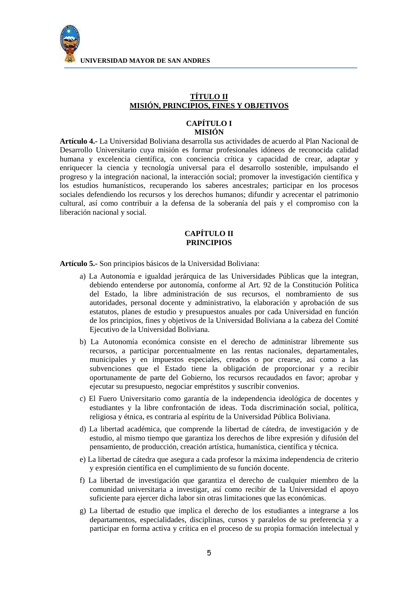

#### **TÍTULO II MISIÓN, PRINCIPIOS, FINES Y OBJETIVOS**

#### **CAPÍTULO I MISIÓN**

**Artículo 4.-** La Universidad Boliviana desarrolla sus actividades de acuerdo al Plan Nacional de Desarrollo Universitario cuya misión es formar profesionales idóneos de reconocida calidad humana y excelencia científica, con conciencia crítica y capacidad de crear, adaptar y enriquecer la ciencia y tecnología universal para el desarrollo sostenible, impulsando el progreso y la integración nacional, la interacción social; promover la investigación científica y los estudios humanísticos, recuperando los saberes ancestrales; participar en los procesos sociales defendiendo los recursos y los derechos humanos; difundir y acrecentar el patrimonio cultural, así como contribuir a la defensa de la soberanía del país y el compromiso con la liberación nacional y social.

#### **CAPÍTULO II PRINCIPIOS**

**Artículo 5.-** Son principios básicos de la Universidad Boliviana:

- a) La Autonomía e igualdad jerárquica de las Universidades Públicas que la integran, debiendo entenderse por autonomía, conforme al Art. 92 de la Constitución Política del Estado, la libre administración de sus recursos, el nombramiento de sus autoridades, personal docente y administrativo, la elaboración y aprobación de sus estatutos, planes de estudio y presupuestos anuales por cada Universidad en función de los principios, fines y objetivos de la Universidad Boliviana a la cabeza del Comité Ejecutivo de la Universidad Boliviana.
- b) La Autonomía económica consiste en el derecho de administrar libremente sus recursos, a participar porcentualmente en las rentas nacionales, departamentales, municipales y en impuestos especiales, creados o por crearse, así como a las subvenciones que el Estado tiene la obligación de proporcionar y a recibir oportunamente de parte del Gobierno, los recursos recaudados en favor; aprobar y ejecutar su presupuesto, negociar empréstitos y suscribir convenios.
- c) El Fuero Universitario como garantía de la independencia ideológica de docentes y estudiantes y la libre confrontación de ideas. Toda discriminación social, política, religiosa y étnica, es contraria al espíritu de la Universidad Pública Boliviana.
- d) La libertad académica, que comprende la libertad de cátedra, de investigación y de estudio, al mismo tiempo que garantiza los derechos de libre expresión y difusión del pensamiento, de producción, creación artística, humanística, científica y técnica.
- e) La libertad de cátedra que asegura a cada profesor la máxima independencia de criterio y expresión científica en el cumplimiento de su función docente.
- f) La libertad de investigación que garantiza el derecho de cualquier miembro de la comunidad universitaria a investigar, así como recibir de la Universidad el apoyo suficiente para ejercer dicha labor sin otras limitaciones que las económicas.
- g) La libertad de estudio que implica el derecho de los estudiantes a integrarse a los departamentos, especialidades, disciplinas, cursos y paralelos de su preferencia y a participar en forma activa y crítica en el proceso de su propia formación intelectual y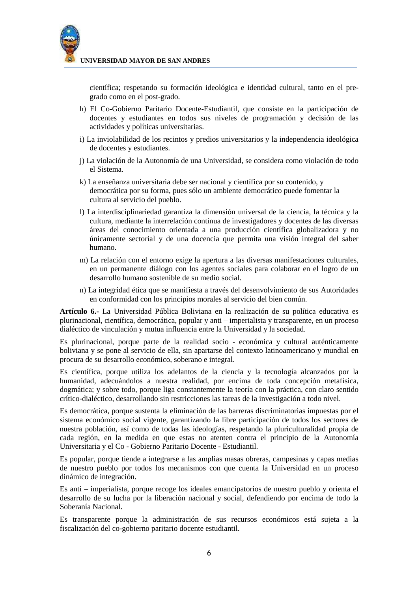

científica; respetando su formación ideológica e identidad cultural, tanto en el pregrado como en el post-grado.

- h) El Co-Gobierno Paritario Docente-Estudiantil, que consiste en la participación de docentes y estudiantes en todos sus niveles de programación y decisión de las actividades y políticas universitarias.
- i) La inviolabilidad de los recintos y predios universitarios y la independencia ideológica de docentes y estudiantes.
- j) La violación de la Autonomía de una Universidad, se considera como violación de todo el Sistema.
- k) La enseñanza universitaria debe ser nacional y científica por su contenido, y democrática por su forma, pues sólo un ambiente democrático puede fomentar la cultura al servicio del pueblo.
- l) La interdisciplinariedad garantiza la dimensión universal de la ciencia, la técnica y la cultura, mediante la interrelación continua de investigadores y docentes de las diversas áreas del conocimiento orientada a una producción científica globalizadora y no únicamente sectorial y de una docencia que permita una visión integral del saber humano.
- m) La relación con el entorno exige la apertura a las diversas manifestaciones culturales, en un permanente diálogo con los agentes sociales para colaborar en el logro de un desarrollo humano sostenible de su medio social.
- n) La integridad ética que se manifiesta a través del desenvolvimiento de sus Autoridades en conformidad con los principios morales al servicio del bien común.

**Artículo 6.-** La Universidad Pública Boliviana en la realización de su política educativa es plurinacional, científica, democrática, popular y anti – imperialista y transparente, en un proceso dialéctico de vinculación y mutua influencia entre la Universidad y la sociedad.

Es plurinacional, porque parte de la realidad socio - económica y cultural auténticamente boliviana y se pone al servicio de ella, sin apartarse del contexto latinoamericano y mundial en procura de su desarrollo económico, soberano e integral.

Es científica, porque utiliza los adelantos de la ciencia y la tecnología alcanzados por la humanidad, adecuándolos a nuestra realidad, por encima de toda concepción metafísica, dogmática; y sobre todo, porque liga constantemente la teoría con la práctica, con claro sentido crítico-dialéctico, desarrollando sin restricciones las tareas de la investigación a todo nivel.

Es democrática, porque sustenta la eliminación de las barreras discriminatorias impuestas por el sistema económico social vigente, garantizando la libre participación de todos los sectores de nuestra población, así como de todas las ideologías, respetando la pluriculturalidad propia de cada región, en la medida en que estas no atenten contra el principio de la Autonomía Universitaria y el Co - Gobierno Paritario Docente - Estudiantil.

Es popular, porque tiende a integrarse a las amplias masas obreras, campesinas y capas medias de nuestro pueblo por todos los mecanismos con que cuenta la Universidad en un proceso dinámico de integración.

Es anti – imperialista, porque recoge los ideales emancipatorios de nuestro pueblo y orienta el desarrollo de su lucha por la liberación nacional y social, defendiendo por encima de todo la Soberanía Nacional.

Es transparente porque la administración de sus recursos económicos está sujeta a la fiscalización del co-gobierno paritario docente estudiantil.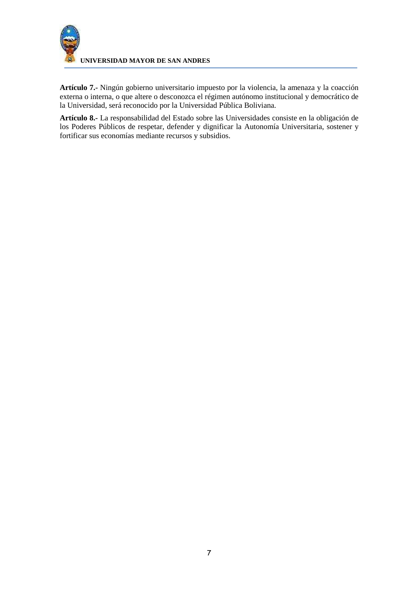

**Artículo 7.-** Ningún gobierno universitario impuesto por la violencia, la amenaza y la coacción externa o interna, o que altere o desconozca el régimen autónomo institucional y democrático de la Universidad, será reconocido por la Universidad Pública Boliviana.

**Artículo 8.-** La responsabilidad del Estado sobre las Universidades consiste en la obligación de los Poderes Públicos de respetar, defender y dignificar la Autonomía Universitaria, sostener y fortificar sus economías mediante recursos y subsidios.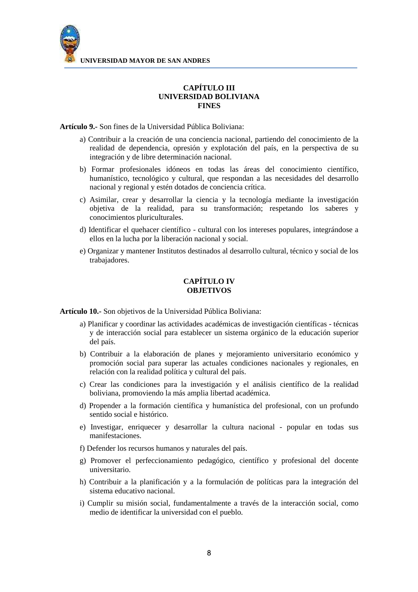

#### **CAPÍTULO III UNIVERSIDAD BOLIVIANA FINES**

**Artículo 9.-** Son fines de la Universidad Pública Boliviana:

- a) Contribuir a la creación de una conciencia nacional, partiendo del conocimiento de la realidad de dependencia, opresión y explotación del país, en la perspectiva de su integración y de libre determinación nacional.
- b) Formar profesionales idóneos en todas las áreas del conocimiento científico, humanístico, tecnológico y cultural, que respondan a las necesidades del desarrollo nacional y regional y estén dotados de conciencia crítica.
- c) Asimilar, crear y desarrollar la ciencia y la tecnología mediante la investigación objetiva de la realidad, para su transformación; respetando los saberes y conocimientos pluriculturales.
- d) Identificar el quehacer científico cultural con los intereses populares, integrándose a ellos en la lucha por la liberación nacional y social.
- e) Organizar y mantener Institutos destinados al desarrollo cultural, técnico y social de los trabajadores.

#### **CAPÍTULO IV OBJETIVOS**

**Artículo 10.-** Son objetivos de la Universidad Pública Boliviana:

- a) Planificar y coordinar las actividades académicas de investigación científicas técnicas y de interacción social para establecer un sistema orgánico de la educación superior del país.
- b) Contribuir a la elaboración de planes y mejoramiento universitario económico y promoción social para superar las actuales condiciones nacionales y regionales, en relación con la realidad política y cultural del país.
- c) Crear las condiciones para la investigación y el análisis científico de la realidad boliviana, promoviendo la más amplia libertad académica.
- d) Propender a la formación científica y humanística del profesional, con un profundo sentido social e histórico.
- e) Investigar, enriquecer y desarrollar la cultura nacional popular en todas sus manifestaciones.
- f) Defender los recursos humanos y naturales del país.
- g) Promover el perfeccionamiento pedagógico, científico y profesional del docente universitario.
- h) Contribuir a la planificación y a la formulación de políticas para la integración del sistema educativo nacional.
- i) Cumplir su misión social, fundamentalmente a través de la interacción social, como medio de identificar la universidad con el pueblo.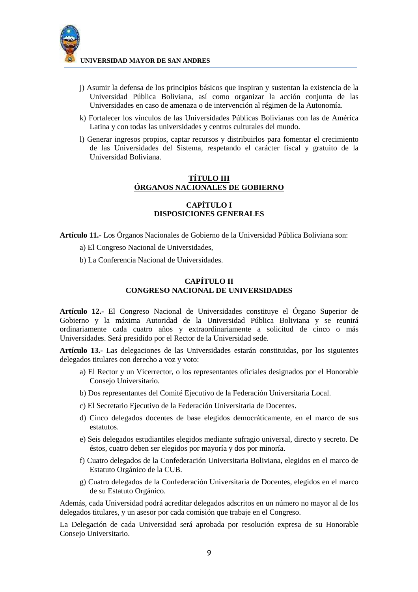

- j) Asumir la defensa de los principios básicos que inspiran y sustentan la existencia de la Universidad Pública Boliviana, así como organizar la acción conjunta de las Universidades en caso de amenaza o de intervención al régimen de la Autonomía.
- k) Fortalecer los vínculos de las Universidades Públicas Bolivianas con las de América Latina y con todas las universidades y centros culturales del mundo.
- l) Generar ingresos propios, captar recursos y distribuirlos para fomentar el crecimiento de las Universidades del Sistema, respetando el carácter fiscal y gratuito de la Universidad Boliviana.

#### **TÍTULO III ÓRGANOS NACIONALES DE GOBIERNO**

#### **CAPÍTULO I DISPOSICIONES GENERALES**

**Artículo 11.-** Los Órganos Nacionales de Gobierno de la Universidad Pública Boliviana son:

- a) El Congreso Nacional de Universidades,
- b) La Conferencia Nacional de Universidades.

#### **CAPÍTULO II CONGRESO NACIONAL DE UNIVERSIDADES**

**Artículo 12.-** El Congreso Nacional de Universidades constituye el Órgano Superior de Gobierno y la máxima Autoridad de la Universidad Pública Boliviana y se reunirá ordinariamente cada cuatro años y extraordinariamente a solicitud de cinco o más Universidades. Será presidido por el Rector de la Universidad sede.

**Artículo 13.-** Las delegaciones de las Universidades estarán constituidas, por los siguientes delegados titulares con derecho a voz y voto:

- a) El Rector y un Vicerrector, o los representantes oficiales designados por el Honorable Consejo Universitario.
- b) Dos representantes del Comité Ejecutivo de la Federación Universitaria Local.
- c) El Secretario Ejecutivo de la Federación Universitaria de Docentes.
- d) Cinco delegados docentes de base elegidos democráticamente, en el marco de sus estatutos.
- e) Seis delegados estudiantiles elegidos mediante sufragio universal, directo y secreto. De éstos, cuatro deben ser elegidos por mayoría y dos por minoría.
- f) Cuatro delegados de la Confederación Universitaria Boliviana, elegidos en el marco de Estatuto Orgánico de la CUB.
- g) Cuatro delegados de la Confederación Universitaria de Docentes, elegidos en el marco de su Estatuto Orgánico.

Además, cada Universidad podrá acreditar delegados adscritos en un número no mayor al de los delegados titulares, y un asesor por cada comisión que trabaje en el Congreso.

La Delegación de cada Universidad será aprobada por resolución expresa de su Honorable Consejo Universitario.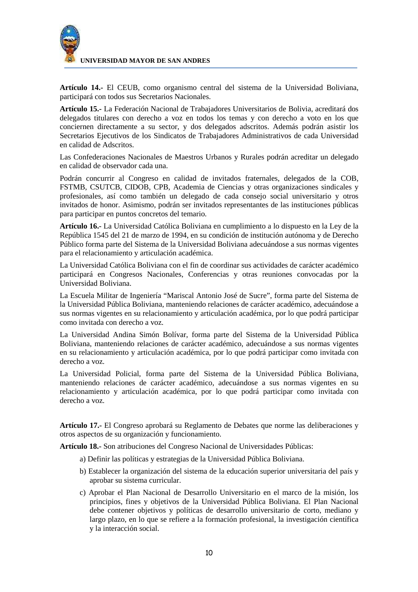

**Artículo 14.-** El CEUB, como organismo central del sistema de la Universidad Boliviana, participará con todos sus Secretarios Nacionales.

**Artículo 15.-** La Federación Nacional de Trabajadores Universitarios de Bolivia, acreditará dos delegados titulares con derecho a voz en todos los temas y con derecho a voto en los que conciernen directamente a su sector, y dos delegados adscritos. Además podrán asistir los Secretarios Ejecutivos de los Sindicatos de Trabajadores Administrativos de cada Universidad en calidad de Adscritos.

Las Confederaciones Nacionales de Maestros Urbanos y Rurales podrán acreditar un delegado en calidad de observador cada una.

Podrán concurrir al Congreso en calidad de invitados fraternales, delegados de la COB, FSTMB, CSUTCB, CIDOB, CPB, Academia de Ciencias y otras organizaciones sindicales y profesionales, así como también un delegado de cada consejo social universitario y otros invitados de honor. Asimismo, podrán ser invitados representantes de las instituciones públicas para participar en puntos concretos del temario.

**Artículo 16.-** La Universidad Católica Boliviana en cumplimiento a lo dispuesto en la Ley de la República 1545 del 21 de marzo de 1994, en su condición de institución autónoma y de Derecho Público forma parte del Sistema de la Universidad Boliviana adecuándose a sus normas vigentes para el relacionamiento y articulación académica.

La Universidad Católica Boliviana con el fin de coordinar sus actividades de carácter académico participará en Congresos Nacionales, Conferencias y otras reuniones convocadas por la Universidad Boliviana.

La Escuela Militar de Ingeniería "Mariscal Antonio José de Sucre", forma parte del Sistema de la Universidad Pública Boliviana, manteniendo relaciones de carácter académico, adecuándose a sus normas vigentes en su relacionamiento y articulación académica, por lo que podrá participar como invitada con derecho a voz.

La Universidad Andina Simón Bolívar, forma parte del Sistema de la Universidad Pública Boliviana, manteniendo relaciones de carácter académico, adecuándose a sus normas vigentes en su relacionamiento y articulación académica, por lo que podrá participar como invitada con derecho a voz.

La Universidad Policial, forma parte del Sistema de la Universidad Pública Boliviana, manteniendo relaciones de carácter académico, adecuándose a sus normas vigentes en su relacionamiento y articulación académica, por lo que podrá participar como invitada con derecho a voz.

**Artículo 17.-** El Congreso aprobará su Reglamento de Debates que norme las deliberaciones y otros aspectos de su organización y funcionamiento.

**Artículo 18.-** Son atribuciones del Congreso Nacional de Universidades Públicas:

- a) Definir las políticas y estrategias de la Universidad Pública Boliviana.
- b) Establecer la organización del sistema de la educación superior universitaria del país y aprobar su sistema curricular.
- c) Aprobar el Plan Nacional de Desarrollo Universitario en el marco de la misión, los principios, fines y objetivos de la Universidad Pública Boliviana. El Plan Nacional debe contener objetivos y políticas de desarrollo universitario de corto, mediano y largo plazo, en lo que se refiere a la formación profesional, la investigación científica y la interacción social.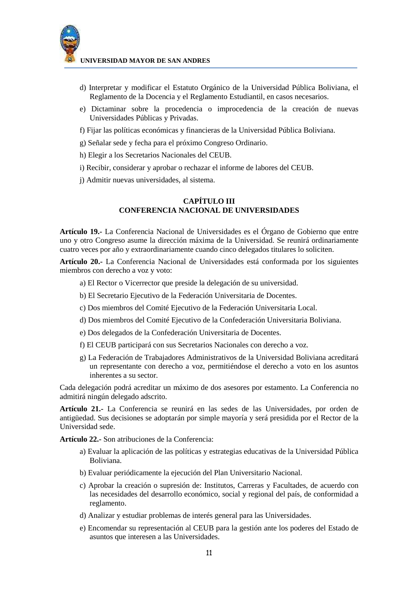

- d) Interpretar y modificar el Estatuto Orgánico de la Universidad Pública Boliviana, el Reglamento de la Docencia y el Reglamento Estudiantil, en casos necesarios.
- e) Dictaminar sobre la procedencia o improcedencia de la creación de nuevas Universidades Públicas y Privadas.
- f) Fijar las políticas económicas y financieras de la Universidad Pública Boliviana.
- g) Señalar sede y fecha para el próximo Congreso Ordinario.
- h) Elegir a los Secretarios Nacionales del CEUB.
- i) Recibir, considerar y aprobar o rechazar el informe de labores del CEUB.
- j) Admitir nuevas universidades, al sistema.

#### **CAPÍTULO III CONFERENCIA NACIONAL DE UNIVERSIDADES**

**Artículo 19.-** La Conferencia Nacional de Universidades es el Órgano de Gobierno que entre uno y otro Congreso asume la dirección máxima de la Universidad. Se reunirá ordinariamente cuatro veces por año y extraordinariamente cuando cinco delegados titulares lo soliciten.

**Artículo 20.-** La Conferencia Nacional de Universidades está conformada por los siguientes miembros con derecho a voz y voto:

- a) El Rector o Vicerrector que preside la delegación de su universidad.
- b) El Secretario Ejecutivo de la Federación Universitaria de Docentes.
- c) Dos miembros del Comité Ejecutivo de la Federación Universitaria Local.
- d) Dos miembros del Comité Ejecutivo de la Confederación Universitaria Boliviana.
- e) Dos delegados de la Confederación Universitaria de Docentes.
- f) El CEUB participará con sus Secretarios Nacionales con derecho a voz.
- g) La Federación de Trabajadores Administrativos de la Universidad Boliviana acreditará un representante con derecho a voz, permitiéndose el derecho a voto en los asuntos inherentes a su sector.

Cada delegación podrá acreditar un máximo de dos asesores por estamento. La Conferencia no admitirá ningún delegado adscrito.

**Artículo 21.-** La Conferencia se reunirá en las sedes de las Universidades, por orden de antigüedad. Sus decisiones se adoptarán por simple mayoría y será presidida por el Rector de la Universidad sede.

**Artículo 22.-** Son atribuciones de la Conferencia:

- a) Evaluar la aplicación de las políticas y estrategias educativas de la Universidad Pública Boliviana.
- b) Evaluar periódicamente la ejecución del Plan Universitario Nacional.
- c) Aprobar la creación o supresión de: Institutos, Carreras y Facultades, de acuerdo con las necesidades del desarrollo económico, social y regional del país, de conformidad a reglamento.
- d) Analizar y estudiar problemas de interés general para las Universidades.
- e) Encomendar su representación al CEUB para la gestión ante los poderes del Estado de asuntos que interesen a las Universidades.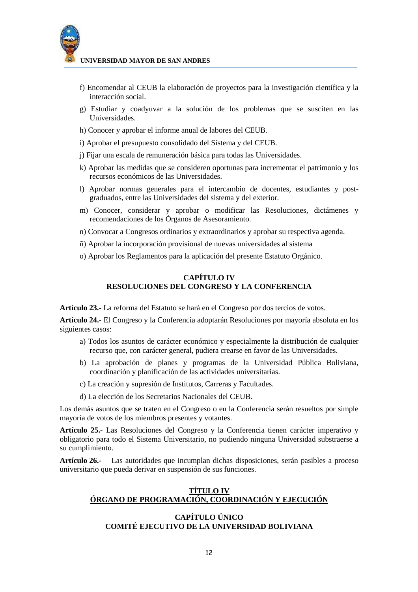

- f) Encomendar al CEUB la elaboración de proyectos para la investigación científica y la interacción social.
- g) Estudiar y coadyuvar a la solución de los problemas que se susciten en las Universidades.
- h) Conocer y aprobar el informe anual de labores del CEUB.
- i) Aprobar el presupuesto consolidado del Sistema y del CEUB.
- j) Fijar una escala de remuneración básica para todas las Universidades.
- k) Aprobar las medidas que se consideren oportunas para incrementar el patrimonio y los recursos económicos de las Universidades.
- l) Aprobar normas generales para el intercambio de docentes, estudiantes y postgraduados, entre las Universidades del sistema y del exterior.
- m) Conocer, considerar y aprobar o modificar las Resoluciones, dictámenes y recomendaciones de los Órganos de Asesoramiento.
- n) Convocar a Congresos ordinarios y extraordinarios y aprobar su respectiva agenda.
- ñ) Aprobar la incorporación provisional de nuevas universidades al sistema
- o) Aprobar los Reglamentos para la aplicación del presente Estatuto Orgánico.

# **CAPÍTULO IV RESOLUCIONES DEL CONGRESO Y LA CONFERENCIA**

**Artículo 23.-** La reforma del Estatuto se hará en el Congreso por dos tercios de votos.

**Artículo 24.-** El Congreso y la Conferencia adoptarán Resoluciones por mayoría absoluta en los siguientes casos:

- a) Todos los asuntos de carácter económico y especialmente la distribución de cualquier recurso que, con carácter general, pudiera crearse en favor de las Universidades.
- b) La aprobación de planes y programas de la Universidad Pública Boliviana, coordinación y planificación de las actividades universitarias.
- c) La creación y supresión de Institutos, Carreras y Facultades.
- d) La elección de los Secretarios Nacionales del CEUB.

Los demás asuntos que se traten en el Congreso o en la Conferencia serán resueltos por simple mayoría de votos de los miembros presentes y votantes.

**Artículo 25.-** Las Resoluciones del Congreso y la Conferencia tienen carácter imperativo y obligatorio para todo el Sistema Universitario, no pudiendo ninguna Universidad substraerse a su cumplimiento.

**Artículo 26.-** Las autoridades que incumplan dichas disposiciones, serán pasibles a proceso universitario que pueda derivar en suspensión de sus funciones.

# **TÍTULO IV ÓRGANO DE PROGRAMACIÓN, COORDINACIÓN Y EJECUCIÓN**

#### **CAPÍTULO ÚNICO COMITÉ EJECUTIVO DE LA UNIVERSIDAD BOLIVIANA**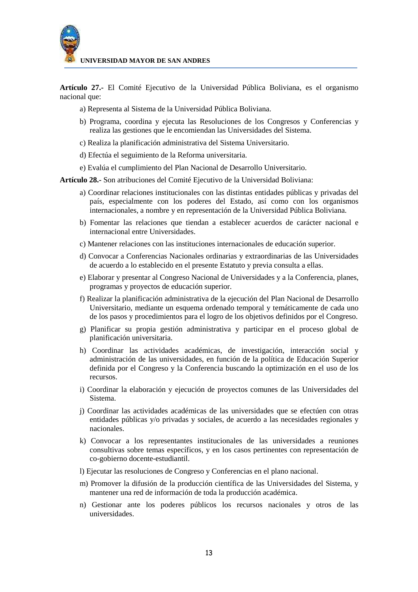

**Artículo 27.-** El Comité Ejecutivo de la Universidad Pública Boliviana, es el organismo nacional que:

- a) Representa al Sistema de la Universidad Pública Boliviana.
- b) Programa, coordina y ejecuta las Resoluciones de los Congresos y Conferencias y realiza las gestiones que le encomiendan las Universidades del Sistema.
- c) Realiza la planificación administrativa del Sistema Universitario.
- d) Efectúa el seguimiento de la Reforma universitaria.
- e) Evalúa el cumplimiento del Plan Nacional de Desarrollo Universitario.

**Artículo 28.-** Son atribuciones del Comité Ejecutivo de la Universidad Boliviana:

- a) Coordinar relaciones institucionales con las distintas entidades públicas y privadas del país, especialmente con los poderes del Estado, así como con los organismos internacionales, a nombre y en representación de la Universidad Pública Boliviana.
- b) Fomentar las relaciones que tiendan a establecer acuerdos de carácter nacional e internacional entre Universidades.
- c) Mantener relaciones con las instituciones internacionales de educación superior.
- d) Convocar a Conferencias Nacionales ordinarias y extraordinarias de las Universidades de acuerdo a lo establecido en el presente Estatuto y previa consulta a ellas.
- e) Elaborar y presentar al Congreso Nacional de Universidades y a la Conferencia, planes, programas y proyectos de educación superior.
- f) Realizar la planificación administrativa de la ejecución del Plan Nacional de Desarrollo Universitario, mediante un esquema ordenado temporal y temáticamente de cada uno de los pasos y procedimientos para el logro de los objetivos definidos por el Congreso.
- g) Planificar su propia gestión administrativa y participar en el proceso global de planificación universitaria.
- h) Coordinar las actividades académicas, de investigación, interacción social y administración de las universidades, en función de la política de Educación Superior definida por el Congreso y la Conferencia buscando la optimización en el uso de los recursos.
- i) Coordinar la elaboración y ejecución de proyectos comunes de las Universidades del Sistema.
- j) Coordinar las actividades académicas de las universidades que se efectúen con otras entidades públicas y/o privadas y sociales, de acuerdo a las necesidades regionales y nacionales.
- k) Convocar a los representantes institucionales de las universidades a reuniones consultivas sobre temas específicos, y en los casos pertinentes con representación de co-gobierno docente-estudiantil.
- l) Ejecutar las resoluciones de Congreso y Conferencias en el plano nacional.
- m) Promover la difusión de la producción científica de las Universidades del Sistema, y mantener una red de información de toda la producción académica.
- n) Gestionar ante los poderes públicos los recursos nacionales y otros de las universidades.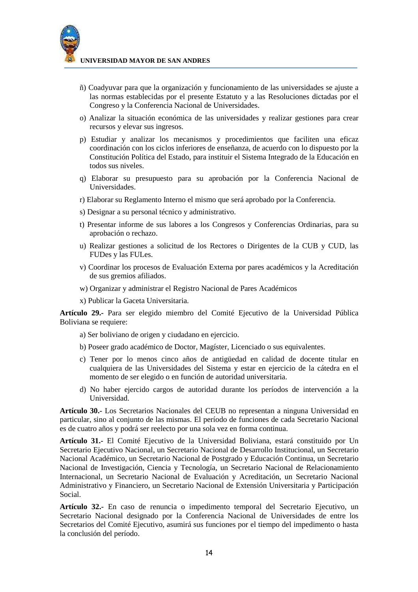

- ñ) Coadyuvar para que la organización y funcionamiento de las universidades se ajuste a las normas establecidas por el presente Estatuto y a las Resoluciones dictadas por el Congreso y la Conferencia Nacional de Universidades.
- o) Analizar la situación económica de las universidades y realizar gestiones para crear recursos y elevar sus ingresos.
- p) Estudiar y analizar los mecanismos y procedimientos que faciliten una eficaz coordinación con los ciclos inferiores de enseñanza, de acuerdo con lo dispuesto por la Constitución Política del Estado, para instituir el Sistema Integrado de la Educación en todos sus niveles.
- q) Elaborar su presupuesto para su aprobación por la Conferencia Nacional de Universidades.
- r) Elaborar su Reglamento Interno el mismo que será aprobado por la Conferencia.
- s) Designar a su personal técnico y administrativo.
- t) Presentar informe de sus labores a los Congresos y Conferencias Ordinarias, para su aprobación o rechazo.
- u) Realizar gestiones a solicitud de los Rectores o Dirigentes de la CUB y CUD, las FUDes y las FULes.
- v) Coordinar los procesos de Evaluación Externa por pares académicos y la Acreditación de sus gremios afiliados.
- w) Organizar y administrar el Registro Nacional de Pares Académicos
- x) Publicar la Gaceta Universitaria.

**Artículo 29.-** Para ser elegido miembro del Comité Ejecutivo de la Universidad Pública Boliviana se requiere:

- a) Ser boliviano de origen y ciudadano en ejercicio.
- b) Poseer grado académico de Doctor, Magíster, Licenciado o sus equivalentes.
- c) Tener por lo menos cinco años de antigüedad en calidad de docente titular en cualquiera de las Universidades del Sistema y estar en ejercicio de la cátedra en el momento de ser elegido o en función de autoridad universitaria.
- d) No haber ejercido cargos de autoridad durante los períodos de intervención a la Universidad.

**Artículo 30.-** Los Secretarios Nacionales del CEUB no representan a ninguna Universidad en particular, sino al conjunto de las mismas. El período de funciones de cada Secretario Nacional es de cuatro años y podrá ser reelecto por una sola vez en forma continua.

**Artículo 31.-** El Comité Ejecutivo de la Universidad Boliviana, estará constituido por Un Secretario Ejecutivo Nacional, un Secretario Nacional de Desarrollo Institucional, un Secretario Nacional Académico, un Secretario Nacional de Postgrado y Educación Continua, un Secretario Nacional de Investigación, Ciencia y Tecnología, un Secretario Nacional de Relacionamiento Internacional, un Secretario Nacional de Evaluación y Acreditación, un Secretario Nacional Administrativo y Financiero, un Secretario Nacional de Extensión Universitaria y Participación Social.

**Artículo 32.-** En caso de renuncia o impedimento temporal del Secretario Ejecutivo, un Secretario Nacional designado por la Conferencia Nacional de Universidades de entre los Secretarios del Comité Ejecutivo, asumirá sus funciones por el tiempo del impedimento o hasta la conclusión del período.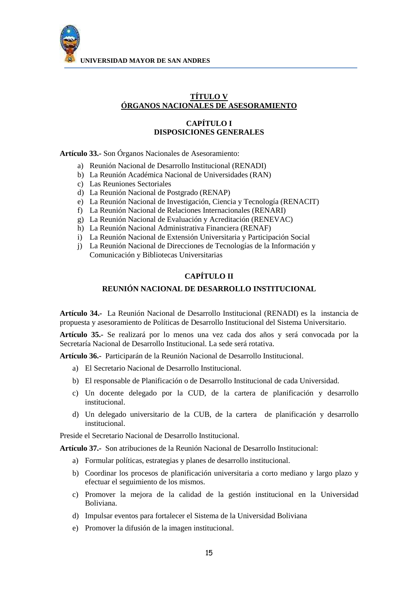

# **TÍTULO V ÓRGANOS NACIONALES DE ASESORAMIENTO**

# **CAPÍTULO I DISPOSICIONES GENERALES**

**Artículo 33.-** Son Órganos Nacionales de Asesoramiento:

- a) Reunión Nacional de Desarrollo Institucional (RENADI)
- b) La Reunión Académica Nacional de Universidades (RAN)
- c) Las Reuniones Sectoriales
- d) La Reunión Nacional de Postgrado (RENAP)
- e) La Reunión Nacional de Investigación, Ciencia y Tecnología (RENACIT)
- f) La Reunión Nacional de Relaciones Internacionales (RENARI)
- g) La Reunión Nacional de Evaluación y Acreditación (RENEVAC)
- h) La Reunión Nacional Administrativa Financiera (RENAF)
- i) La Reunión Nacional de Extensión Universitaria y Participación Social
- j) La Reunión Nacional de Direcciones de Tecnologías de la Información y Comunicación y Bibliotecas Universitarias

# **CAPÍTULO II**

# **REUNIÓN NACIONAL DE DESARROLLO INSTITUCIONAL**

**Artículo 34.-** La Reunión Nacional de Desarrollo Institucional (RENADI) es la instancia de propuesta y asesoramiento de Políticas de Desarrollo Institucional del Sistema Universitario.

**Artículo 35.-** Se realizará por lo menos una vez cada dos años y será convocada por la Secretaría Nacional de Desarrollo Institucional. La sede será rotativa.

**Artículo 36.-** Participarán de la Reunión Nacional de Desarrollo Institucional.

- a) El Secretario Nacional de Desarrollo Institucional.
- b) El responsable de Planificación o de Desarrollo Institucional de cada Universidad.
- c) Un docente delegado por la CUD, de la cartera de planificación y desarrollo institucional.
- d) Un delegado universitario de la CUB, de la cartera de planificación y desarrollo institucional.

Preside el Secretario Nacional de Desarrollo Institucional.

**Artículo 37.-** Son atribuciones de la Reunión Nacional de Desarrollo Institucional:

- a) Formular políticas, estrategias y planes de desarrollo institucional.
- b) Coordinar los procesos de planificación universitaria a corto mediano y largo plazo y efectuar el seguimiento de los mismos.
- c) Promover la mejora de la calidad de la gestión institucional en la Universidad Boliviana.
- d) Impulsar eventos para fortalecer el Sistema de la Universidad Boliviana
- e) Promover la difusión de la imagen institucional.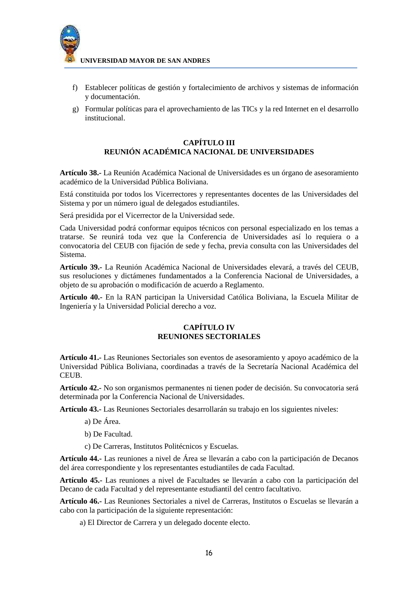

- f) Establecer políticas de gestión y fortalecimiento de archivos y sistemas de información y documentación.
- g) Formular políticas para el aprovechamiento de las TICs y la red Internet en el desarrollo institucional.

#### **CAPÍTULO III REUNIÓN ACADÉMICA NACIONAL DE UNIVERSIDADES**

**Artículo 38.-** La Reunión Académica Nacional de Universidades es un órgano de asesoramiento académico de la Universidad Pública Boliviana.

Está constituida por todos los Vicerrectores y representantes docentes de las Universidades del Sistema y por un número igual de delegados estudiantiles.

Será presidida por el Vicerrector de la Universidad sede.

Cada Universidad podrá conformar equipos técnicos con personal especializado en los temas a tratarse. Se reunirá toda vez que la Conferencia de Universidades así lo requiera o a convocatoria del CEUB con fijación de sede y fecha, previa consulta con las Universidades del Sistema.

**Artículo 39.-** La Reunión Académica Nacional de Universidades elevará, a través del CEUB, sus resoluciones y dictámenes fundamentados a la Conferencia Nacional de Universidades, a objeto de su aprobación o modificación de acuerdo a Reglamento.

**Artículo 40.-** En la RAN participan la Universidad Católica Boliviana, la Escuela Militar de Ingeniería y la Universidad Policial derecho a voz.

#### **CAPÍTULO IV REUNIONES SECTORIALES**

**Artículo 41.-** Las Reuniones Sectoriales son eventos de asesoramiento y apoyo académico de la Universidad Pública Boliviana, coordinadas a través de la Secretaría Nacional Académica del **CEUB.** 

**Artículo 42.-** No son organismos permanentes ni tienen poder de decisión. Su convocatoria será determinada por la Conferencia Nacional de Universidades.

**Artículo 43.-** Las Reuniones Sectoriales desarrollarán su trabajo en los siguientes niveles:

- a) De Área.
- b) De Facultad.
- c) De Carreras, Institutos Politécnicos y Escuelas.

**Artículo 44.-** Las reuniones a nivel de Área se llevarán a cabo con la participación de Decanos del área correspondiente y los representantes estudiantiles de cada Facultad.

**Artículo 45.-** Las reuniones a nivel de Facultades se llevarán a cabo con la participación del Decano de cada Facultad y del representante estudiantil del centro facultativo.

**Artículo 46.-** Las Reuniones Sectoriales a nivel de Carreras, Institutos o Escuelas se llevarán a cabo con la participación de la siguiente representación:

a) El Director de Carrera y un delegado docente electo.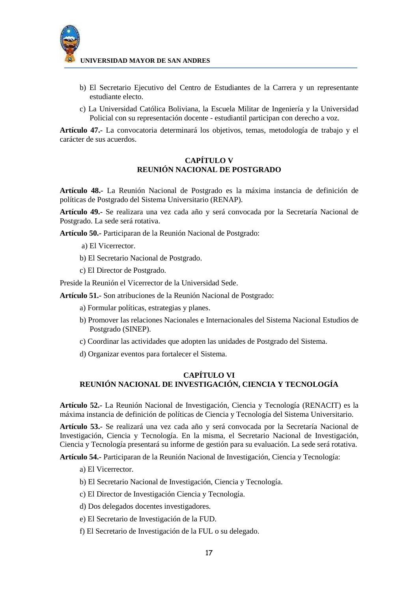

- b) El Secretario Ejecutivo del Centro de Estudiantes de la Carrera y un representante estudiante electo.
- c) La Universidad Católica Boliviana, la Escuela Militar de Ingeniería y la Universidad Policial con su representación docente - estudiantil participan con derecho a voz.

**Artículo 47.-** La convocatoria determinará los objetivos, temas, metodología de trabajo y el carácter de sus acuerdos.

#### **CAPÍTULO V REUNIÓN NACIONAL DE POSTGRADO**

**Artículo 48.-** La Reunión Nacional de Postgrado es la máxima instancia de definición de políticas de Postgrado del Sistema Universitario (RENAP).

**Artículo 49.-** Se realizara una vez cada año y será convocada por la Secretaría Nacional de Postgrado. La sede será rotativa.

**Artículo 50.-** Participaran de la Reunión Nacional de Postgrado:

a) El Vicerrector.

- b) El Secretario Nacional de Postgrado.
- c) El Director de Postgrado.

Preside la Reunión el Vicerrector de la Universidad Sede.

**Artículo 51.-** Son atribuciones de la Reunión Nacional de Postgrado:

- a) Formular políticas, estrategias y planes.
- b) Promover las relaciones Nacionales e Internacionales del Sistema Nacional Estudios de Postgrado (SINEP).
- c) Coordinar las actividades que adopten las unidades de Postgrado del Sistema.
- d) Organizar eventos para fortalecer el Sistema.

#### **CAPÍTULO VI REUNIÓN NACIONAL DE INVESTIGACIÓN, CIENCIA Y TECNOLOGÍA**

**Artículo 52.-** La Reunión Nacional de Investigación, Ciencia y Tecnología (RENACIT) es la máxima instancia de definición de políticas de Ciencia y Tecnología del Sistema Universitario.

**Artículo 53.-** Se realizará una vez cada año y será convocada por la Secretaría Nacional de Investigación, Ciencia y Tecnología. En la misma, el Secretario Nacional de Investigación, Ciencia y Tecnología presentará su informe de gestión para su evaluación. La sede será rotativa.

**Artículo 54.-** Participaran de la Reunión Nacional de Investigación, Ciencia y Tecnología:

- a) El Vicerrector.
- b) El Secretario Nacional de Investigación, Ciencia y Tecnología.
- c) El Director de Investigación Ciencia y Tecnología.
- d) Dos delegados docentes investigadores.
- e) El Secretario de Investigación de la FUD.
- f) El Secretario de Investigación de la FUL o su delegado.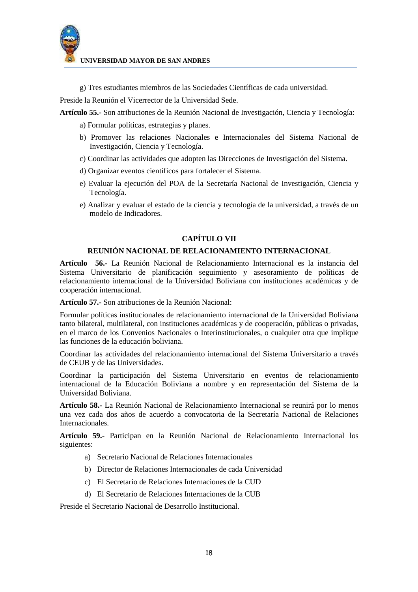

g) Tres estudiantes miembros de las Sociedades Científicas de cada universidad.

Preside la Reunión el Vicerrector de la Universidad Sede.

**Artículo 55.-** Son atribuciones de la Reunión Nacional de Investigación, Ciencia y Tecnología:

- a) Formular políticas, estrategias y planes.
- b) Promover las relaciones Nacionales e Internacionales del Sistema Nacional de Investigación, Ciencia y Tecnología.
- c) Coordinar las actividades que adopten las Direcciones de Investigación del Sistema.
- d) Organizar eventos científicos para fortalecer el Sistema.
- e) Evaluar la ejecución del POA de la Secretaría Nacional de Investigación, Ciencia y Tecnología.
- e) Analizar y evaluar el estado de la ciencia y tecnología de la universidad, a través de un modelo de Indicadores.

# **CAPÍTULO VII**

#### **REUNIÓN NACIONAL DE RELACIONAMIENTO INTERNACIONAL**

**Artículo 56.-** La Reunión Nacional de Relacionamiento Internacional es la instancia del Sistema Universitario de planificación seguimiento y asesoramiento de políticas de relacionamiento internacional de la Universidad Boliviana con instituciones académicas y de cooperación internacional.

**Artículo 57.-** Son atribuciones de la Reunión Nacional:

Formular políticas institucionales de relacionamiento internacional de la Universidad Boliviana tanto bilateral, multilateral, con instituciones académicas y de cooperación, públicas o privadas, en el marco de los Convenios Nacionales o Interinstitucionales, o cualquier otra que implique las funciones de la educación boliviana.

Coordinar las actividades del relacionamiento internacional del Sistema Universitario a través de CEUB y de las Universidades.

Coordinar la participación del Sistema Universitario en eventos de relacionamiento internacional de la Educación Boliviana a nombre y en representación del Sistema de la Universidad Boliviana.

**Artículo 58.-** La Reunión Nacional de Relacionamiento Internacional se reunirá por lo menos una vez cada dos años de acuerdo a convocatoria de la Secretaría Nacional de Relaciones Internacionales.

**Artículo 59.-** Participan en la Reunión Nacional de Relacionamiento Internacional los siguientes:

- a) Secretario Nacional de Relaciones Internacionales
- b) Director de Relaciones Internacionales de cada Universidad
- c) El Secretario de Relaciones Internaciones de la CUD
- d) El Secretario de Relaciones Internaciones de la CUB

Preside el Secretario Nacional de Desarrollo Institucional.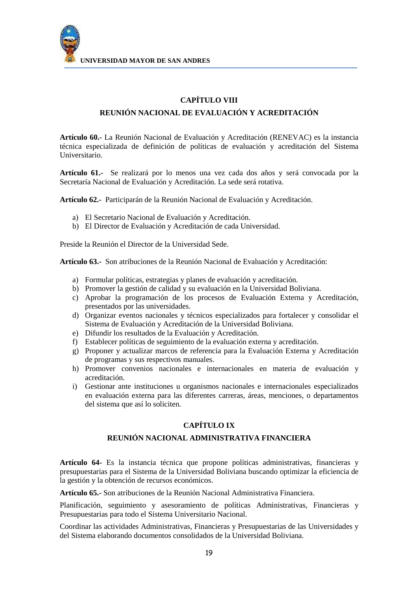

# **CAPÍTULO VIII**

# **REUNIÓN NACIONAL DE EVALUACIÓN Y ACREDITACIÓN**

**Artículo 60.-** La Reunión Nacional de Evaluación y Acreditación (RENEVAC) es la instancia técnica especializada de definición de políticas de evaluación y acreditación del Sistema Universitario.

**Artículo 61.-** Se realizará por lo menos una vez cada dos años y será convocada por la Secretaría Nacional de Evaluación y Acreditación. La sede será rotativa.

**Artículo 62.-** Participarán de la Reunión Nacional de Evaluación y Acreditación.

- a) El Secretario Nacional de Evaluación y Acreditación.
- b) El Director de Evaluación y Acreditación de cada Universidad.

Preside la Reunión el Director de la Universidad Sede.

**Artículo 63.-** Son atribuciones de la Reunión Nacional de Evaluación y Acreditación:

- a) Formular políticas, estrategias y planes de evaluación y acreditación.
- b) Promover la gestión de calidad y su evaluación en la Universidad Boliviana.
- c) Aprobar la programación de los procesos de Evaluación Externa y Acreditación, presentados por las universidades.
- d) Organizar eventos nacionales y técnicos especializados para fortalecer y consolidar el Sistema de Evaluación y Acreditación de la Universidad Boliviana.
- e) Difundir los resultados de la Evaluación y Acreditación.
- f) Establecer políticas de seguimiento de la evaluación externa y acreditación.
- g) Proponer y actualizar marcos de referencia para la Evaluación Externa y Acreditación de programas y sus respectivos manuales.
- h) Promover convenios nacionales e internacionales en materia de evaluación y acreditación.
- i) Gestionar ante instituciones u organismos nacionales e internacionales especializados en evaluación externa para las diferentes carreras, áreas, menciones, o departamentos del sistema que así lo soliciten.

# **CAPÍTULO IX**

# **REUNIÓN NACIONAL ADMINISTRATIVA FINANCIERA**

**Artículo 64-** Es la instancia técnica que propone políticas administrativas, financieras y presupuestarias para el Sistema de la Universidad Boliviana buscando optimizar la eficiencia de la gestión y la obtención de recursos económicos.

**Artículo 65.-** Son atribuciones de la Reunión Nacional Administrativa Financiera.

Planificación, seguimiento y asesoramiento de políticas Administrativas, Financieras y Presupuestarias para todo el Sistema Universitario Nacional.

Coordinar las actividades Administrativas, Financieras y Presupuestarias de las Universidades y del Sistema elaborando documentos consolidados de la Universidad Boliviana.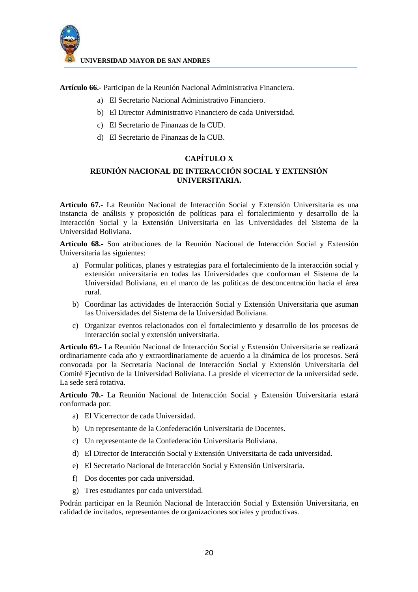

**Artículo 66.-** Participan de la Reunión Nacional Administrativa Financiera.

- a) El Secretario Nacional Administrativo Financiero.
- b) El Director Administrativo Financiero de cada Universidad.
- c) El Secretario de Finanzas de la CUD.
- d) El Secretario de Finanzas de la CUB.

# **CAPÍTULO X**

# **REUNIÓN NACIONAL DE INTERACCIÓN SOCIAL Y EXTENSIÓN UNIVERSITARIA.**

**Artículo 67.-** La Reunión Nacional de Interacción Social y Extensión Universitaria es una instancia de análisis y proposición de políticas para el fortalecimiento y desarrollo de la Interacción Social y la Extensión Universitaria en las Universidades del Sistema de la Universidad Boliviana.

**Artículo 68.-** Son atribuciones de la Reunión Nacional de Interacción Social y Extensión Universitaria las siguientes:

- a) Formular políticas, planes y estrategias para el fortalecimiento de la interacción social y extensión universitaria en todas las Universidades que conforman el Sistema de la Universidad Boliviana, en el marco de las políticas de desconcentración hacia el área rural.
- b) Coordinar las actividades de Interacción Social y Extensión Universitaria que asuman las Universidades del Sistema de la Universidad Boliviana.
- c) Organizar eventos relacionados con el fortalecimiento y desarrollo de los procesos de interacción social y extensión universitaria.

**Artículo 69.-** La Reunión Nacional de Interacción Social y Extensión Universitaria se realizará ordinariamente cada año y extraordinariamente de acuerdo a la dinámica de los procesos. Será convocada por la Secretaría Nacional de Interacción Social y Extensión Universitaria del Comité Ejecutivo de la Universidad Boliviana. La preside el vicerrector de la universidad sede. La sede será rotativa.

**Artículo 70.-** La Reunión Nacional de Interacción Social y Extensión Universitaria estará conformada por:

- a) El Vicerrector de cada Universidad.
- b) Un representante de la Confederación Universitaria de Docentes.
- c) Un representante de la Confederación Universitaria Boliviana.
- d) El Director de Interacción Social y Extensión Universitaria de cada universidad.
- e) El Secretario Nacional de Interacción Social y Extensión Universitaria.
- f) Dos docentes por cada universidad.
- g) Tres estudiantes por cada universidad.

Podrán participar en la Reunión Nacional de Interacción Social y Extensión Universitaria, en calidad de invitados, representantes de organizaciones sociales y productivas.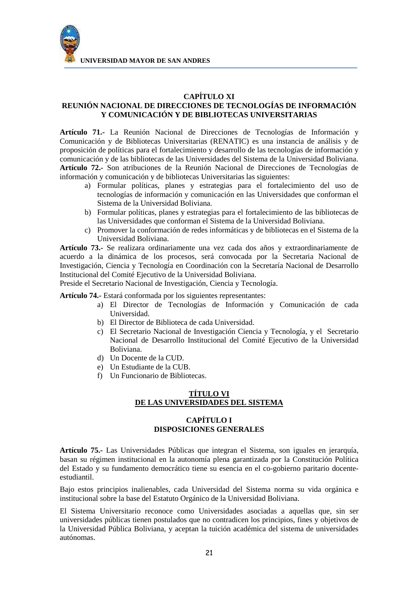

# **CAPÍTULO XI**

# **REUNIÓN NACIONAL DE DIRECCIONES DE TECNOLOGÍAS DE INFORMACIÓN Y COMUNICACIÓN Y DE BIBLIOTECAS UNIVERSITARIAS**

**Artículo 71.-** La Reunión Nacional de Direcciones de Tecnologías de Información y Comunicación y de Bibliotecas Universitarias (RENATIC) es una instancia de análisis y de proposición de políticas para el fortalecimiento y desarrollo de las tecnologías de información y comunicación y de las bibliotecas de las Universidades del Sistema de la Universidad Boliviana. **Artículo 72.-** Son atribuciones de la Reunión Nacional de Direcciones de Tecnologías de información y comunicación y de bibliotecas Universitarias las siguientes:

- a) Formular políticas, planes y estrategias para el fortalecimiento del uso de tecnologías de información y comunicación en las Universidades que conforman el Sistema de la Universidad Boliviana.
- b) Formular políticas, planes y estrategias para el fortalecimiento de las bibliotecas de las Universidades que conforman el Sistema de la Universidad Boliviana.
- c) Promover la conformación de redes informáticas y de bibliotecas en el Sistema de la Universidad Boliviana.

**Artículo 73.-** Se realizara ordinariamente una vez cada dos años y extraordinariamente de acuerdo a la dinámica de los procesos, será convocada por la Secretaria Nacional de Investigación, Ciencia y Tecnología en Coordinación con la Secretaría Nacional de Desarrollo Institucional del Comité Ejecutivo de la Universidad Boliviana.

Preside el Secretario Nacional de Investigación, Ciencia y Tecnología.

**Artículo 74.-** Estará conformada por los siguientes representantes:

- a) El Director de Tecnologías de Información y Comunicación de cada Universidad.
- b) El Director de Biblioteca de cada Universidad.
- c) El Secretario Nacional de Investigación Ciencia y Tecnología, y el Secretario Nacional de Desarrollo Institucional del Comité Ejecutivo de la Universidad Boliviana.
- d) Un Docente de la CUD.
- e) Un Estudiante de la CUB.
- f) Un Funcionario de Bibliotecas.

# **TÍTULO VI DE LAS UNIVERSIDADES DEL SISTEMA**

# **CAPÍTULO I DISPOSICIONES GENERALES**

**Artículo 75.-** Las Universidades Públicas que integran el Sistema, son iguales en jerarquía, basan su régimen institucional en la autonomía plena garantizada por la Constitución Política del Estado y su fundamento democrático tiene su esencia en el co-gobierno paritario docenteestudiantil.

Bajo estos principios inalienables, cada Universidad del Sistema norma su vida orgánica e institucional sobre la base del Estatuto Orgánico de la Universidad Boliviana.

El Sistema Universitario reconoce como Universidades asociadas a aquellas que, sin ser universidades públicas tienen postulados que no contradicen los principios, fines y objetivos de la Universidad Pública Boliviana, y aceptan la tuición académica del sistema de universidades autónomas.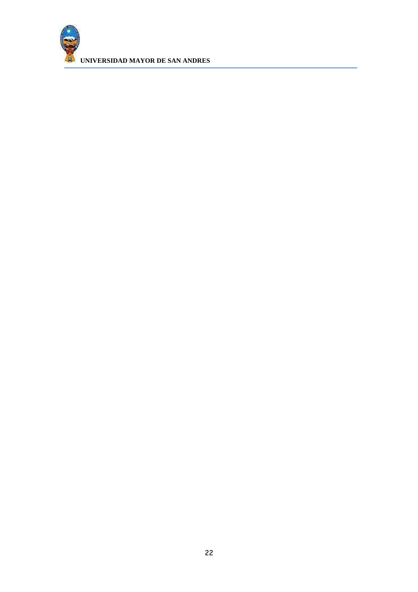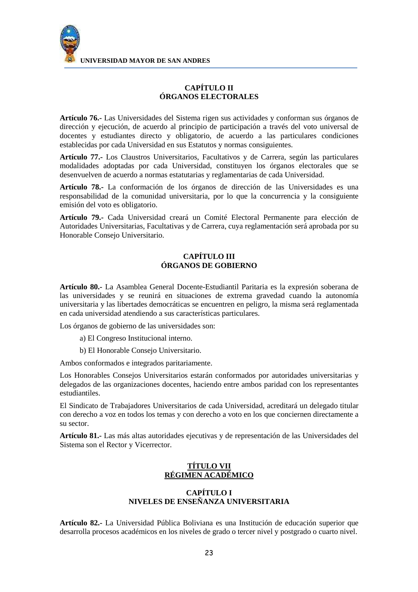

#### **CAPÍTULO II ÓRGANOS ELECTORALES**

**Artículo 76.-** Las Universidades del Sistema rigen sus actividades y conforman sus órganos de dirección y ejecución, de acuerdo al principio de participación a través del voto universal de docentes y estudiantes directo y obligatorio, de acuerdo a las particulares condiciones establecidas por cada Universidad en sus Estatutos y normas consiguientes.

**Artículo 77.-** Los Claustros Universitarios, Facultativos y de Carrera, según las particulares modalidades adoptadas por cada Universidad, constituyen los órganos electorales que se desenvuelven de acuerdo a normas estatutarias y reglamentarias de cada Universidad.

**Artículo 78.-** La conformación de los órganos de dirección de las Universidades es una responsabilidad de la comunidad universitaria, por lo que la concurrencia y la consiguiente emisión del voto es obligatorio.

**Artículo 79.-** Cada Universidad creará un Comité Electoral Permanente para elección de Autoridades Universitarias, Facultativas y de Carrera, cuya reglamentación será aprobada por su Honorable Consejo Universitario.

#### **CAPÍTULO III ÓRGANOS DE GOBIERNO**

**Artículo 80.-** La Asamblea General Docente-Estudiantil Paritaria es la expresión soberana de las universidades y se reunirá en situaciones de extrema gravedad cuando la autonomía universitaria y las libertades democráticas se encuentren en peligro, la misma será reglamentada en cada universidad atendiendo a sus características particulares.

Los órganos de gobierno de las universidades son:

- a) El Congreso Institucional interno.
- b) El Honorable Consejo Universitario.

Ambos conformados e integrados paritariamente.

Los Honorables Consejos Universitarios estarán conformados por autoridades universitarias y delegados de las organizaciones docentes, haciendo entre ambos paridad con los representantes estudiantiles.

El Sindicato de Trabajadores Universitarios de cada Universidad, acreditará un delegado titular con derecho a voz en todos los temas y con derecho a voto en los que conciernen directamente a su sector.

**Artículo 81.-** Las más altas autoridades ejecutivas y de representación de las Universidades del Sistema son el Rector y Vicerrector.

# **TÍTULO VII RÉGIMEN ACADÉMICO**

#### **CAPÍTULO I NIVELES DE ENSEÑANZA UNIVERSITARIA**

**Artículo 82.-** La Universidad Pública Boliviana es una Institución de educación superior que desarrolla procesos académicos en los niveles de grado o tercer nivel y postgrado o cuarto nivel.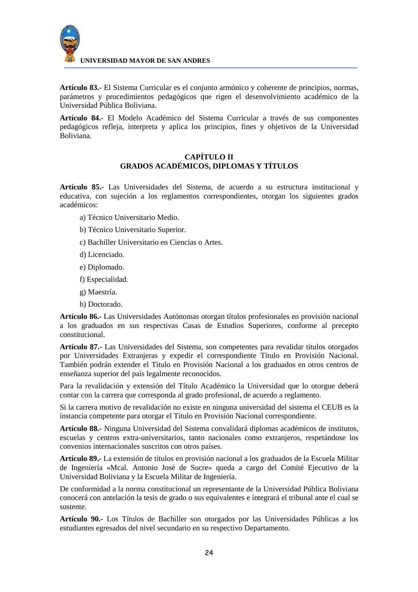

**Artículo 83.-** El Sistema Curricular es el conjunto armónico y coherente de principios, normas, parámetros y procedimientos pedagógicos que rigen el desenvolvimiento académico de la Universidad Pública Boliviana.

**Artículo 84.-** El Modelo Académico del Sistema Curricular a través de sus componentes pedagógicos refleja, interpreta y aplica los principios, fines y objetivos de la Universidad Boliviana.

#### **CAPÍTULO II GRADOS ACADÉMICOS, DIPLOMAS Y TÍTULOS**

**Artículo 85.-** Las Universidades del Sistema, de acuerdo a su estructura institucional y educativa, con sujeción a los reglamentos correspondientes, otorgan los siguientes grados académicos:

- a) Técnico Universitario Medio.
- b) Técnico Universitario Superior.
- c) Bachiller Universitario en Ciencias o Artes.
- d) Licenciado.
- e) Diplomado.
- f) Especialidad.
- g) Maestría.
- h) Doctorado.

**Artículo 86.-** Las Universidades Autónomas otorgan títulos profesionales en provisión nacional a los graduados en sus respectivas Casas de Estudios Superiores, conforme al precepto constitucional.

**Artículo 87.-** Las Universidades del Sistema, son competentes para revalidar títulos otorgados por Universidades Extranjeras y expedir el correspondiente Título en Provisión Nacional. También podrán extender el Título en Provisión Nacional a los graduados en otros centros de enseñanza superior del país legalmente reconocidos.

Para la revalidación y extensión del Título Académico la Universidad que lo otorgue deberá contar con la carrera que corresponda al grado profesional, de acuerdo a reglamento.

Si la carrera motivo de revalidación no existe en ninguna universidad del sistema el CEUB es la instancia competente para otorgar el Título en Provisión Nacional correspondiente.

**Artículo 88.-** Ninguna Universidad del Sistema convalidará diplomas académicos de institutos, escuelas y centros extra-universitarios, tanto nacionales como extranjeros, respetándose los convenios internacionales suscritos con otros países.

**Artículo 89.-** La extensión de títulos en provisión nacional a los graduados de la Escuela Militar de Ingeniería «Mcal. Antonio José de Sucre» queda a cargo del Comité Ejecutivo de la Universidad Boliviana y la Escuela Militar de Ingeniería.

De conformidad a la norma constitucional un representante de la Universidad Pública Boliviana conocerá con antelación la tesis de grado o sus equivalentes e integrará el tribunal ante el cual se sustente.

**Artículo 90.-** Los Títulos de Bachiller son otorgados por las Universidades Públicas a los estudiantes egresados del nivel secundario en su respectivo Departamento.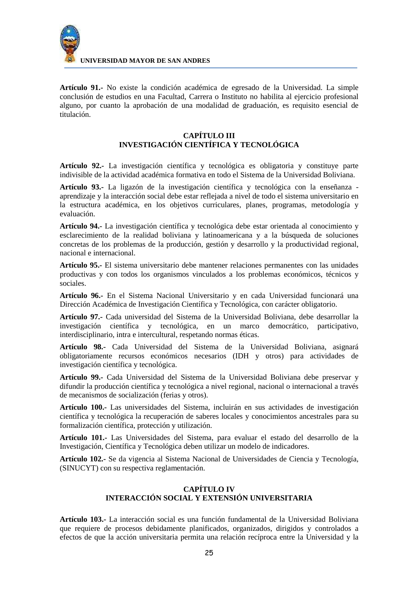

**Artículo 91.-** No existe la condición académica de egresado de la Universidad. La simple conclusión de estudios en una Facultad, Carrera o Instituto no habilita al ejercicio profesional alguno, por cuanto la aprobación de una modalidad de graduación, es requisito esencial de titulación.

#### **CAPÍTULO III INVESTIGACIÓN CIENTÍFICA Y TECNOLÓGICA**

**Artículo 92.-** La investigación científica y tecnológica es obligatoria y constituye parte indivisible de la actividad académica formativa en todo el Sistema de la Universidad Boliviana.

**Artículo 93.-** La ligazón de la investigación científica y tecnológica con la enseñanza aprendizaje y la interacción social debe estar reflejada a nivel de todo el sistema universitario en la estructura académica, en los objetivos curriculares, planes, programas, metodología y evaluación.

**Artículo 94.-** La investigación científica y tecnológica debe estar orientada al conocimiento y esclarecimiento de la realidad boliviana y latinoamericana y a la búsqueda de soluciones concretas de los problemas de la producción, gestión y desarrollo y la productividad regional, nacional e internacional.

**Artículo 95.-** El sistema universitario debe mantener relaciones permanentes con las unidades productivas y con todos los organismos vinculados a los problemas económicos, técnicos y sociales.

**Artículo 96.-** En el Sistema Nacional Universitario y en cada Universidad funcionará una Dirección Académica de Investigación Científica y Tecnológica, con carácter obligatorio.

**Artículo 97.-** Cada universidad del Sistema de la Universidad Boliviana, debe desarrollar la investigación científica y tecnológica, en un marco democrático, participativo, interdisciplinario, intra e intercultural, respetando normas éticas.

**Artículo 98.-** Cada Universidad del Sistema de la Universidad Boliviana, asignará obligatoriamente recursos económicos necesarios (IDH y otros) para actividades de investigación científica y tecnológica.

**Artículo 99.-** Cada Universidad del Sistema de la Universidad Boliviana debe preservar y difundir la producción científica y tecnológica a nivel regional, nacional o internacional a través de mecanismos de socialización (ferias y otros).

**Artículo 100.-** Las universidades del Sistema, incluirán en sus actividades de investigación científica y tecnológica la recuperación de saberes locales y conocimientos ancestrales para su formalización científica, protección y utilización.

**Artículo 101.-** Las Universidades del Sistema, para evaluar el estado del desarrollo de la Investigación, Científica y Tecnológica deben utilizar un modelo de indicadores.

**Artículo 102.-** Se da vigencia al Sistema Nacional de Universidades de Ciencia y Tecnología, (SINUCYT) con su respectiva reglamentación.

# **CAPÍTULO IV INTERACCIÓN SOCIAL Y EXTENSIÓN UNIVERSITARIA**

**Artículo 103.-** La interacción social es una función fundamental de la Universidad Boliviana que requiere de procesos debidamente planificados, organizados, dirigidos y controlados a efectos de que la acción universitaria permita una relación recíproca entre la Universidad y la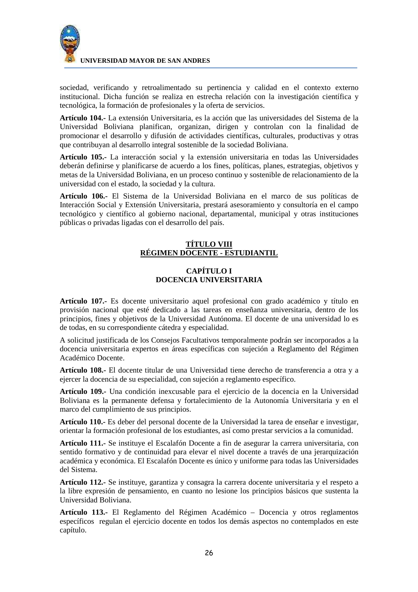

sociedad, verificando y retroalimentado su pertinencia y calidad en el contexto externo institucional. Dicha función se realiza en estrecha relación con la investigación científica y tecnológica, la formación de profesionales y la oferta de servicios.

**Artículo 104.-** La extensión Universitaria, es la acción que las universidades del Sistema de la Universidad Boliviana planifican, organizan, dirigen y controlan con la finalidad de promocionar el desarrollo y difusión de actividades científicas, culturales, productivas y otras que contribuyan al desarrollo integral sostenible de la sociedad Boliviana.

**Artículo 105.-** La interacción social y la extensión universitaria en todas las Universidades deberán definirse y planificarse de acuerdo a los fines, políticas, planes, estrategias, objetivos y metas de la Universidad Boliviana, en un proceso continuo y sostenible de relacionamiento de la universidad con el estado, la sociedad y la cultura.

**Artículo 106.-** El Sistema de la Universidad Boliviana en el marco de sus políticas de Interacción Social y Extensión Universitaria, prestará asesoramiento y consultoría en el campo tecnológico y científico al gobierno nacional, departamental, municipal y otras instituciones públicas o privadas ligadas con el desarrollo del país.

# **TÍTULO VIII RÉGIMEN DOCENTE - ESTUDIANTIL**

# **CAPÍTULO I DOCENCIA UNIVERSITARIA**

**Artículo 107.-** Es docente universitario aquel profesional con grado académico y título en provisión nacional que esté dedicado a las tareas en enseñanza universitaria, dentro de los principios, fines y objetivos de la Universidad Autónoma. El docente de una universidad lo es de todas, en su correspondiente cátedra y especialidad.

A solicitud justificada de los Consejos Facultativos temporalmente podrán ser incorporados a la docencia universitaria expertos en áreas específicas con sujeción a Reglamento del Régimen Académico Docente.

**Artículo 108.-** El docente titular de una Universidad tiene derecho de transferencia a otra y a ejercer la docencia de su especialidad, con sujeción a reglamento específico.

**Artículo 109.-** Una condición inexcusable para el ejercicio de la docencia en la Universidad Boliviana es la permanente defensa y fortalecimiento de la Autonomía Universitaria y en el marco del cumplimiento de sus principios.

**Artículo 110.-** Es deber del personal docente de la Universidad la tarea de enseñar e investigar, orientar la formación profesional de los estudiantes, así como prestar servicios a la comunidad.

**Artículo 111.-** Se instituye el Escalafón Docente a fin de asegurar la carrera universitaria, con sentido formativo y de continuidad para elevar el nivel docente a través de una jerarquización académica y económica. El Escalafón Docente es único y uniforme para todas las Universidades del Sistema.

**Artículo 112.-** Se instituye, garantiza y consagra la carrera docente universitaria y el respeto a la libre expresión de pensamiento, en cuanto no lesione los principios básicos que sustenta la Universidad Boliviana.

**Artículo 113.-** El Reglamento del Régimen Académico – Docencia y otros reglamentos específicos regulan el ejercicio docente en todos los demás aspectos no contemplados en este capítulo.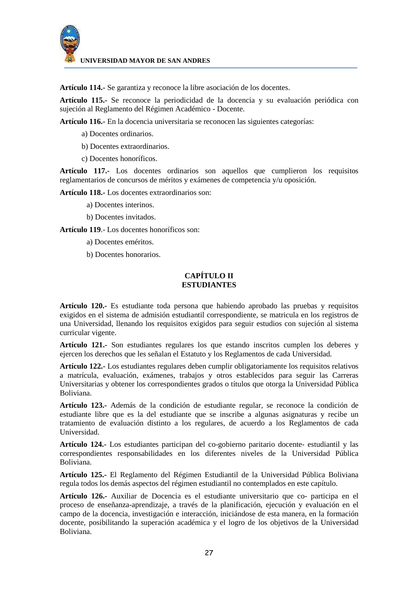

**Artículo 114.-** Se garantiza y reconoce la libre asociación de los docentes.

**Artículo 115.-** Se reconoce la periodicidad de la docencia y su evaluación periódica con sujeción al Reglamento del Régimen Académico - Docente.

**Artículo 116.-** En la docencia universitaria se reconocen las siguientes categorías:

- a) Docentes ordinarios.
- b) Docentes extraordinarios.
- c) Docentes honoríficos.

**Artículo 117.-** Los docentes ordinarios son aquellos que cumplieron los requisitos reglamentarios de concursos de méritos y exámenes de competencia y/u oposición.

**Artículo 118.-** Los docentes extraordinarios son:

- a) Docentes interinos.
- b) Docentes invitados.

**Artículo 119**.- Los docentes honoríficos son:

- a) Docentes eméritos.
- b) Docentes honorarios.

#### **CAPÍTULO II ESTUDIANTES**

**Artículo 120.-** Es estudiante toda persona que habiendo aprobado las pruebas y requisitos exigidos en el sistema de admisión estudiantil correspondiente, se matricula en los registros de una Universidad, llenando los requisitos exigidos para seguir estudios con sujeción al sistema curricular vigente.

**Artículo 121.-** Son estudiantes regulares los que estando inscritos cumplen los deberes y ejercen los derechos que les señalan el Estatuto y los Reglamentos de cada Universidad.

**Artículo 122.-** Los estudiantes regulares deben cumplir obligatoriamente los requisitos relativos a matrícula, evaluación, exámenes, trabajos y otros establecidos para seguir las Carreras Universitarias y obtener los correspondientes grados o títulos que otorga la Universidad Pública Boliviana.

**Artículo 123.-** Además de la condición de estudiante regular, se reconoce la condición de estudiante libre que es la del estudiante que se inscribe a algunas asignaturas y recibe un tratamiento de evaluación distinto a los regulares, de acuerdo a los Reglamentos de cada Universidad.

**Artículo 124.-** Los estudiantes participan del co-gobierno paritario docente- estudiantil y las correspondientes responsabilidades en los diferentes niveles de la Universidad Pública Boliviana.

**Artículo 125.-** El Reglamento del Régimen Estudiantil de la Universidad Pública Boliviana regula todos los demás aspectos del régimen estudiantil no contemplados en este capítulo.

**Artículo 126.-** Auxiliar de Docencia es el estudiante universitario que co- participa en el proceso de enseñanza-aprendizaje, a través de la planificación, ejecución y evaluación en el campo de la docencia, investigación e interacción, iniciándose de esta manera, en la formación docente, posibilitando la superación académica y el logro de los objetivos de la Universidad Boliviana.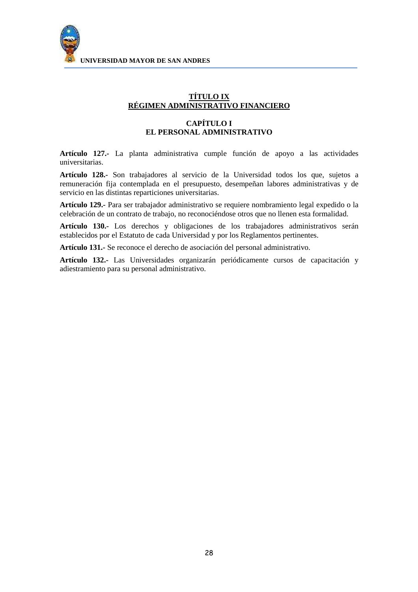

# **TÍTULO IX RÉGIMEN ADMINISTRATIVO FINANCIERO**

# **CAPÍTULO I EL PERSONAL ADMINISTRATIVO**

**Artículo 127.-** La planta administrativa cumple función de apoyo a las actividades universitarias.

**Artículo 128.-** Son trabajadores al servicio de la Universidad todos los que, sujetos a remuneración fija contemplada en el presupuesto, desempeñan labores administrativas y de servicio en las distintas reparticiones universitarias.

**Artículo 129.-** Para ser trabajador administrativo se requiere nombramiento legal expedido o la celebración de un contrato de trabajo, no reconociéndose otros que no llenen esta formalidad.

**Artículo 130.-** Los derechos y obligaciones de los trabajadores administrativos serán establecidos por el Estatuto de cada Universidad y por los Reglamentos pertinentes.

**Artículo 131.-** Se reconoce el derecho de asociación del personal administrativo.

**Artículo 132.-** Las Universidades organizarán periódicamente cursos de capacitación y adiestramiento para su personal administrativo.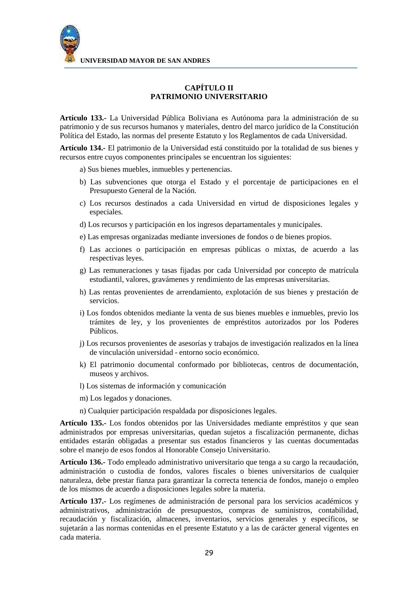

#### **CAPÍTULO II PATRIMONIO UNIVERSITARIO**

**Artículo 133.-** La Universidad Pública Boliviana es Autónoma para la administración de su patrimonio y de sus recursos humanos y materiales, dentro del marco jurídico de la Constitución Política del Estado, las normas del presente Estatuto y los Reglamentos de cada Universidad.

**Artículo 134.-** El patrimonio de la Universidad está constituido por la totalidad de sus bienes y recursos entre cuyos componentes principales se encuentran los siguientes:

- a) Sus bienes muebles, inmuebles y pertenencias.
- b) Las subvenciones que otorga el Estado y el porcentaje de participaciones en el Presupuesto General de la Nación.
- c) Los recursos destinados a cada Universidad en virtud de disposiciones legales y especiales.
- d) Los recursos y participación en los ingresos departamentales y municipales.
- e) Las empresas organizadas mediante inversiones de fondos o de bienes propios.
- f) Las acciones o participación en empresas públicas o mixtas, de acuerdo a las respectivas leyes.
- g) Las remuneraciones y tasas fijadas por cada Universidad por concepto de matrícula estudiantil, valores, gravámenes y rendimiento de las empresas universitarias.
- h) Las rentas provenientes de arrendamiento, explotación de sus bienes y prestación de servicios.
- i) Los fondos obtenidos mediante la venta de sus bienes muebles e inmuebles, previo los trámites de ley, y los provenientes de empréstitos autorizados por los Poderes Públicos.
- j) Los recursos provenientes de asesorías y trabajos de investigación realizados en la línea de vinculación universidad - entorno socio económico.
- k) El patrimonio documental conformado por bibliotecas, centros de documentación, museos y archivos.
- l) Los sistemas de información y comunicación
- m) Los legados y donaciones.
- n) Cualquier participación respaldada por disposiciones legales.

**Artículo 135.-** Los fondos obtenidos por las Universidades mediante empréstitos y que sean administrados por empresas universitarias, quedan sujetos a fiscalización permanente, dichas entidades estarán obligadas a presentar sus estados financieros y las cuentas documentadas sobre el manejo de esos fondos al Honorable Consejo Universitario.

**Artículo 136.-** Todo empleado administrativo universitario que tenga a su cargo la recaudación, administración o custodia de fondos, valores fiscales o bienes universitarios de cualquier naturaleza, debe prestar fianza para garantizar la correcta tenencia de fondos, manejo o empleo de los mismos de acuerdo a disposiciones legales sobre la materia.

**Artículo 137.-** Los regímenes de administración de personal para los servicios académicos y administrativos, administración de presupuestos, compras de suministros, contabilidad, recaudación y fiscalización, almacenes, inventarios, servicios generales y específicos, se sujetarán a las normas contenidas en el presente Estatuto y a las de carácter general vigentes en cada materia.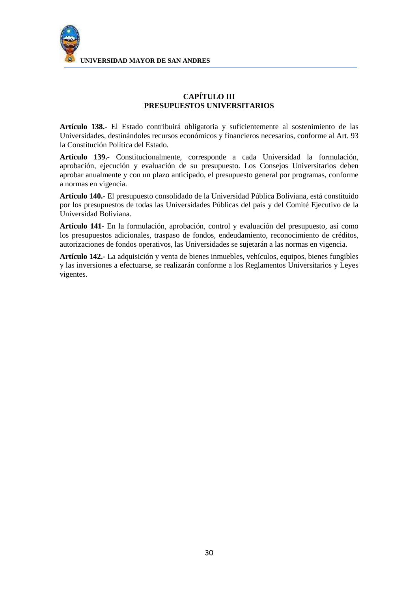

# **CAPÍTULO III PRESUPUESTOS UNIVERSITARIOS**

**Artículo 138.-** El Estado contribuirá obligatoria y suficientemente al sostenimiento de las Universidades, destinándoles recursos económicos y financieros necesarios, conforme al Art. 93 la Constitución Política del Estado.

**Artículo 139.-** Constitucionalmente, corresponde a cada Universidad la formulación, aprobación, ejecución y evaluación de su presupuesto. Los Consejos Universitarios deben aprobar anualmente y con un plazo anticipado, el presupuesto general por programas, conforme a normas en vigencia.

**Artículo 140.-** El presupuesto consolidado de la Universidad Pública Boliviana, está constituido por los presupuestos de todas las Universidades Públicas del país y del Comité Ejecutivo de la Universidad Boliviana.

**Artículo 141-** En la formulación, aprobación, control y evaluación del presupuesto, así como los presupuestos adicionales, traspaso de fondos, endeudamiento, reconocimiento de créditos, autorizaciones de fondos operativos, las Universidades se sujetarán a las normas en vigencia.

**Artículo 142.-** La adquisición y venta de bienes inmuebles, vehículos, equipos, bienes fungibles y las inversiones a efectuarse, se realizarán conforme a los Reglamentos Universitarios y Leyes vigentes.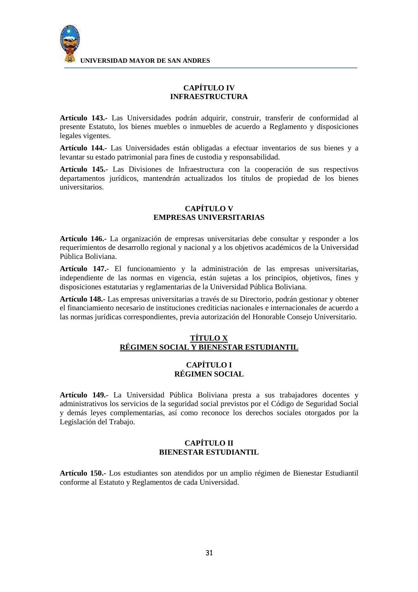

#### **CAPÍTULO IV INFRAESTRUCTURA**

**Artículo 143.-** Las Universidades podrán adquirir, construir, transferir de conformidad al presente Estatuto, los bienes muebles o inmuebles de acuerdo a Reglamento y disposiciones legales vigentes.

**Artículo 144.-** Las Universidades están obligadas a efectuar inventarios de sus bienes y a levantar su estado patrimonial para fines de custodia y responsabilidad.

**Artículo 145.-** Las Divisiones de Infraestructura con la cooperación de sus respectivos departamentos jurídicos, mantendrán actualizados los títulos de propiedad de los bienes universitarios.

#### **CAPÍTULO V EMPRESAS UNIVERSITARIAS**

**Artículo 146.-** La organización de empresas universitarias debe consultar y responder a los requerimientos de desarrollo regional y nacional y a los objetivos académicos de la Universidad Pública Boliviana.

**Artículo 147.-** El funcionamiento y la administración de las empresas universitarias, independiente de las normas en vigencia, están sujetas a los principios, objetivos, fines y disposiciones estatutarias y reglamentarias de la Universidad Pública Boliviana.

**Artículo 148.-** Las empresas universitarias a través de su Directorio, podrán gestionar y obtener el financiamiento necesario de instituciones crediticias nacionales e internacionales de acuerdo a las normas jurídicas correspondientes, previa autorización del Honorable Consejo Universitario.

#### **TÍTULO X RÉGIMEN SOCIAL Y BIENESTAR ESTUDIANTIL**

# **CAPÍTULO I RÉGIMEN SOCIAL**

**Artículo 149.-** La Universidad Pública Boliviana presta a sus trabajadores docentes y administrativos los servicios de la seguridad social previstos por el Código de Seguridad Social y demás leyes complementarias, así como reconoce los derechos sociales otorgados por la Legislación del Trabajo.

#### **CAPÍTULO II BIENESTAR ESTUDIANTIL**

**Artículo 150.-** Los estudiantes son atendidos por un amplio régimen de Bienestar Estudiantil conforme al Estatuto y Reglamentos de cada Universidad.